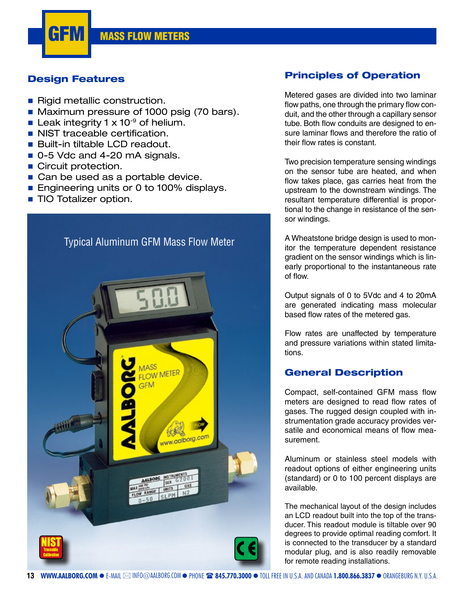

## **Design Features**

- Rigid metallic construction.
- **Maximum pressure of 1000 psig (70 bars).**
- Leak integrity 1  $\times$  10<sup>-9</sup> of helium.
- **NIST traceable certification.**
- Built-in tiltable LCD readout.
- 0-5 Vdc and 4-20 mA signals.
- Circuit protection.
- Can be used as a portable device.
- **Engineering units or 0 to 100% displays.**
- **TIO Totalizer option.**



## **Principles of Operation**

Metered gases are divided into two laminar flow paths, one through the primary flow conduit, and the other through a capillary sensor tube. Both flow conduits are designed to ensure laminar flows and therefore the ratio of their flow rates is constant.

Two precision temperature sensing windings on the sensor tube are heated, and when flow takes place, gas carries heat from the upstream to the downstream windings. The resultant temperature differential is proportional to the change in resistance of the sensor windings.

A Wheatstone bridge design is used to monitor the temperature dependent resistance gradient on the sensor windings which is linearly proportional to the instantaneous rate of flow.

Output signals of 0 to 5Vdc and 4 to 20mA are generated indicating mass molecular based flow rates of the metered gas.

Flow rates are unaffected by temperature and pressure variations within stated limitations.

## **General Description**

Compact, self-contained GFM mass flow meters are designed to read flow rates of gases. The rugged design coupled with instrumentation grade accuracy provides versatile and economical means of flow measurement.

Aluminum or stainless steel models with readout options of either engineering units (standard) or 0 to 100 percent displays are available.

The mechanical layout of the design includes an LCD readout built into the top of the transducer. This readout module is tiltable over 90 degrees to provide optimal reading comfort. It is connected to the transducer by a standard modular plug, and is also readily removable for remote reading installations.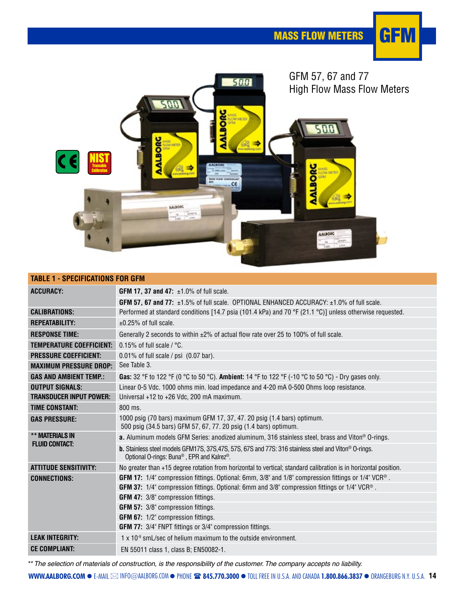



| <b>TABLE 1 - SPECIFICATIONS FOR GFM</b> |                                                                                                                                                                              |  |  |  |  |  |  |
|-----------------------------------------|------------------------------------------------------------------------------------------------------------------------------------------------------------------------------|--|--|--|--|--|--|
| <b>ACCURACY:</b>                        | <b>GFM 17, 37 and 47:</b> $\pm 1.0\%$ of full scale.                                                                                                                         |  |  |  |  |  |  |
|                                         | <b>GFM 57, 67 and 77:</b> $\pm$ 1.5% of full scale. OPTIONAL ENHANCED ACCURACY: $\pm$ 1.0% of full scale.                                                                    |  |  |  |  |  |  |
| <b>CALIBRATIONS:</b>                    | Performed at standard conditions [14.7 psia (101.4 kPa) and 70 °F (21.1 °C)] unless otherwise requested.                                                                     |  |  |  |  |  |  |
| <b>REPEATABILITY:</b>                   | $\pm 0.25\%$ of full scale.                                                                                                                                                  |  |  |  |  |  |  |
| <b>RESPONSE TIME:</b>                   | Generally 2 seconds to within $\pm 2\%$ of actual flow rate over 25 to 100% of full scale.                                                                                   |  |  |  |  |  |  |
| TEMPERATURE COEFFICIENT:                | 0.15% of full scale $/$ °C.                                                                                                                                                  |  |  |  |  |  |  |
| <b>PRESSURE COEFFICIENT:</b>            | $0.01\%$ of full scale / psi $(0.07$ bar).                                                                                                                                   |  |  |  |  |  |  |
| <b>MAXIMUM PRESSURE DROP:</b>           | See Table 3.                                                                                                                                                                 |  |  |  |  |  |  |
| <b>GAS AND AMBIENT TEMP.:</b>           | Gas: 32 °F to 122 °F (0 °C to 50 °C). Ambient: 14 °F to 122 °F (-10 °C to 50 °C) - Dry gases only.                                                                           |  |  |  |  |  |  |
| <b>OUTPUT SIGNALS:</b>                  | Linear 0-5 Vdc. 1000 ohms min. load impedance and 4-20 mA 0-500 Ohms loop resistance.                                                                                        |  |  |  |  |  |  |
| <b>TRANSDUCER INPUT POWER:</b>          | Universal +12 to +26 Vdc, 200 mA maximum.                                                                                                                                    |  |  |  |  |  |  |
| <b>TIME CONSTANT:</b>                   | 800 ms.                                                                                                                                                                      |  |  |  |  |  |  |
| <b>GAS PRESSURE:</b>                    | 1000 psig (70 bars) maximum GFM 17, 37, 47. 20 psig (1.4 bars) optimum.<br>500 psig (34.5 bars) GFM 57, 67, 77. 20 psig (1.4 bars) optimum.                                  |  |  |  |  |  |  |
| ** MATERIALS IN                         | a. Aluminum models GFM Series: anodized aluminum, 316 stainless steel, brass and Viton <sup>®</sup> O-rings.                                                                 |  |  |  |  |  |  |
| <b>FLUID CONTACT:</b>                   | b. Stainless steel models GFM17S, 37S, 47S, 57S, 67S and 77S: 316 stainless steel and Viton® O-rings.<br>Optional O-rings: Buna <sup>®</sup> , EPR and Kalrez <sup>®</sup> . |  |  |  |  |  |  |
| <b>ATTITUDE SENSITIVITY:</b>            | No greater than +15 degree rotation from horizontal to vertical; standard calibration is in horizontal position.                                                             |  |  |  |  |  |  |
| <b>CONNECTIONS:</b>                     | GFM 17: 1/4" compression fittings. Optional: 6mm, 3/8" and 1/8" compression fittings or 1/4" VCR®.                                                                           |  |  |  |  |  |  |
|                                         | GFM 37: 1/4" compression fittings. Optional: 6mm and 3/8" compression fittings or 1/4" VCR®.                                                                                 |  |  |  |  |  |  |
|                                         | GFM 47: 3/8" compression fittings.                                                                                                                                           |  |  |  |  |  |  |
|                                         | GFM 57: 3/8" compression fittings.                                                                                                                                           |  |  |  |  |  |  |
|                                         | <b>GFM 67:</b> 1/2" compression fittings.                                                                                                                                    |  |  |  |  |  |  |
|                                         | GFM 77: 3/4" FNPT fittings or 3/4" compression fittings.                                                                                                                     |  |  |  |  |  |  |
| <b>LEAK INTEGRITY:</b>                  | $1 \times 10^{-9}$ smL/sec of helium maximum to the outside environment.                                                                                                     |  |  |  |  |  |  |
| <b>CE COMPLIANT:</b>                    | EN 55011 class 1. class B: EN50082-1.                                                                                                                                        |  |  |  |  |  |  |

\*\* The selection of materials of construction, is the responsibility of the customer. The company accepts no liability.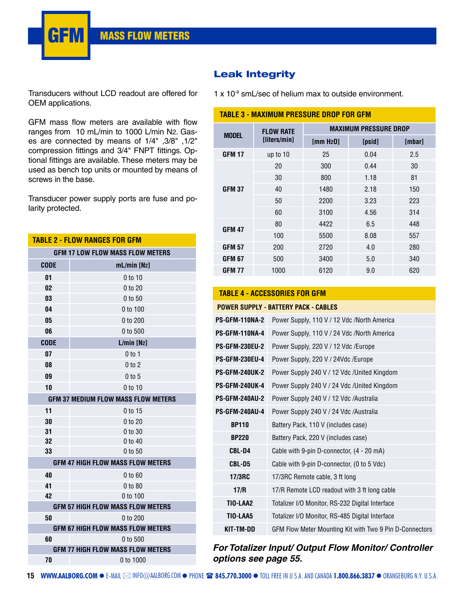

GFM mass flow meters are available with flow ranges from 10 mL/min to 1000 L/min N2. Gases are connected by means of 1/4" ,3/8" ,1/2" compression fittings and 3/4" FNPT fittings. Optional fittings are available. These meters may be used as bench top units or mounted by means of screws in the base.

Transducer power supply ports are fuse and polarity protected.

| <b>TABLE 2 - FLOW RANGES FOR GFM</b>    |                                            |  |  |  |  |  |  |  |
|-----------------------------------------|--------------------------------------------|--|--|--|--|--|--|--|
| <b>GFM 17 LOW FLOW MASS FLOW METERS</b> |                                            |  |  |  |  |  |  |  |
| <b>CODE</b>                             | $mL/min$ [N <sub>2</sub> ]                 |  |  |  |  |  |  |  |
| 01                                      | 0 to 10                                    |  |  |  |  |  |  |  |
| 02                                      | 0 to 20                                    |  |  |  |  |  |  |  |
| 03                                      | 0 to 50                                    |  |  |  |  |  |  |  |
| 04                                      | 0 to 100                                   |  |  |  |  |  |  |  |
| 05                                      | 0 to 200                                   |  |  |  |  |  |  |  |
| 06                                      | 0 to 500                                   |  |  |  |  |  |  |  |
| <b>CODE</b>                             | $L/min$ [N <sub>2</sub> ]                  |  |  |  |  |  |  |  |
| 07                                      | $0$ to 1                                   |  |  |  |  |  |  |  |
| 08                                      | 0 to 2                                     |  |  |  |  |  |  |  |
| 09                                      | $0$ to $5$                                 |  |  |  |  |  |  |  |
| 10                                      | 0 to 10                                    |  |  |  |  |  |  |  |
|                                         | <b>GFM 37 MEDIUM FLOW MASS FLOW METERS</b> |  |  |  |  |  |  |  |
| 11                                      | 0 to 15                                    |  |  |  |  |  |  |  |
| 30                                      | 0 to 20                                    |  |  |  |  |  |  |  |
| 31                                      | 0 to 30                                    |  |  |  |  |  |  |  |
| 32                                      | 0 to 40                                    |  |  |  |  |  |  |  |
| 33                                      | 0 to 50                                    |  |  |  |  |  |  |  |
|                                         | <b>GFM 47 HIGH FLOW MASS FLOW METERS</b>   |  |  |  |  |  |  |  |
| 40                                      | 0 to 60                                    |  |  |  |  |  |  |  |
| 41                                      | 0 to 80                                    |  |  |  |  |  |  |  |
| 42                                      | 0 to 100                                   |  |  |  |  |  |  |  |
|                                         | <b>GFM 57 HIGH FLOW MASS FLOW METERS</b>   |  |  |  |  |  |  |  |
| 50                                      | 0 to 200                                   |  |  |  |  |  |  |  |
|                                         | <b>GFM 67 HIGH FLOW MASS FLOW METERS</b>   |  |  |  |  |  |  |  |
| 60                                      | 0 to 500                                   |  |  |  |  |  |  |  |
|                                         | <b>GFM 77 HIGH FLOW MASS FLOW METERS</b>   |  |  |  |  |  |  |  |
| 70                                      | 0 to 1000                                  |  |  |  |  |  |  |  |

## **Leak Integrity**

#### **TABLE 3 - MAXIMUM PRESSURE DROP FOR GFM**

| <b>MODEL</b>  | <b>FLOW RATE</b> | <b>MAXIMUM PRESSURE DROP</b> |        |        |  |  |  |  |
|---------------|------------------|------------------------------|--------|--------|--|--|--|--|
|               | [liters/min]     | [mm H <sub>2</sub> 0]        | [psid] | [mbar] |  |  |  |  |
| <b>GFM 17</b> | up to 10         | 25                           | 0.04   | 2.5    |  |  |  |  |
|               | 20               | 300                          | 0.44   | 30     |  |  |  |  |
|               | 30               | 800                          | 1.18   | 81     |  |  |  |  |
| <b>GFM 37</b> | 40               | 1480                         | 2.18   | 150    |  |  |  |  |
|               | 50               | 2200                         | 3.23   | 223    |  |  |  |  |
|               | 60               | 3100                         | 4.56   | 314    |  |  |  |  |
| <b>GFM 47</b> | 80               | 4422                         | 6.5    | 448    |  |  |  |  |
|               | 100              | 5500                         | 8.08   | 557    |  |  |  |  |
| <b>GFM 57</b> | 200              | 2720                         | 4.0    | 280    |  |  |  |  |
| <b>GFM 67</b> | 500              | 3400                         | 5.0    | 340    |  |  |  |  |
| <b>GFM 77</b> | 1000             | 6120                         | 9.0    | 620    |  |  |  |  |

#### **TABLE 4 - ACCESSORIES FOR GFM**

|                       | <b>POWER SUPPLY - BATTERY PACK - CABLES</b>             |
|-----------------------|---------------------------------------------------------|
| <b>PS-GFM-110NA-2</b> | Power Supply, 110 V / 12 Vdc /North America             |
| <b>PS-GFM-110NA-4</b> | Power Supply, 110 V / 24 Vdc /North America             |
| <b>PS-GFM-230EU-2</b> | Power Supply, 220 V / 12 Vdc /Europe                    |
| <b>PS-GFM-230EU-4</b> | Power Supply, 220 V / 24Vdc /Europe                     |
| <b>PS-GFM-240UK-2</b> | Power Supply 240 V / 12 Vdc / United Kingdom            |
| <b>PS-GFM-240UK-4</b> | Power Supply 240 V / 24 Vdc /United Kingdom             |
| <b>PS-GFM-240AU-2</b> | Power Supply 240 V / 12 Vdc / Australia                 |
| <b>PS-GFM-240AU-4</b> | Power Supply 240 V / 24 Vdc / Australia                 |
| <b>BP110</b>          | Battery Pack, 110 V (includes case)                     |
| <b>BP220</b>          | Battery Pack, 220 V (includes case)                     |
| CBL-D4                | Cable with 9-pin D-connector, (4 - 20 mA)               |
| CBL-D5                | Cable with 9-pin D-connector, (0 to 5 Vdc)              |
| 17/3RC                | 17/3RC Remote cable, 3 ft long                          |
| 17/R                  | 17/R Remote LCD readout with 3 ft long cable            |
| TIO-LAA2              | Totalizer I/O Monitor, RS-232 Digital Interface         |
| TIO-LAA5              | Totalizer I/O Monitor, RS-485 Digital Interface         |
| KIT-TM-DD             | GFM Flow Meter Mounting Kit with Two 9 Pin D-Connectors |

## **For Totalizer Input/ Output Flow Monitor/ Controller options see page 55.**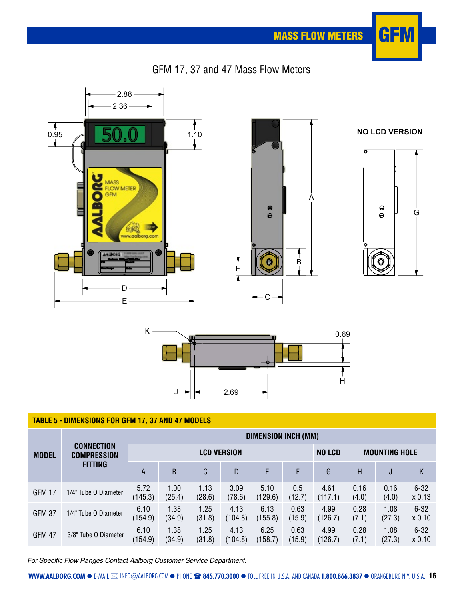MASS FLOW METERS  $\boxed{G}$  =  $\boxed{M}$ 









| <b>TABLE 5 - DIMENSIONS FOR GFM 17, 37 AND 47 MODELS</b> |                                         |                     |                |                    |                 |                      |                |                 |               |                |                      |  |
|----------------------------------------------------------|-----------------------------------------|---------------------|----------------|--------------------|-----------------|----------------------|----------------|-----------------|---------------|----------------|----------------------|--|
|                                                          |                                         | DIMENSION INCH (MM) |                |                    |                 |                      |                |                 |               |                |                      |  |
| <b>MODEL</b>                                             | <b>CONNECTION</b><br><b>COMPRESSION</b> |                     |                | <b>LCD VERSION</b> | <b>NO LCD</b>   | <b>MOUNTING HOLE</b> |                |                 |               |                |                      |  |
|                                                          | <b>FITTING</b>                          | A                   | <sub>B</sub>   | C                  | D               | E                    | F              | G               | Н             | J              | Κ                    |  |
| GFM 17                                                   | 1/4" Tube O Diameter                    | 5.72<br>(145.3)     | 1.00<br>(25.4) | 1.13<br>(28.6)     | 3.09<br>(78.6)  | 5.10<br>(129.6)      | 0.5<br>(12.7)  | 4.61<br>(117.1) | 0.16<br>(4.0) | 0.16<br>(4.0)  | $6 - 32$<br>$x$ 0.13 |  |
| <b>GFM 37</b>                                            | 1/4" Tube O Diameter                    | 6.10<br>(154.9)     | 1.38<br>(34.9) | 1.25<br>(31.8)     | 4.13<br>(104.8) | 6.13<br>(155.8)      | 0.63<br>(15.9) | 4.99<br>(126.7) | 0.28<br>(7.1) | 1.08<br>(27.3) | $6 - 32$<br>$x$ 0.10 |  |
| <b>GFM 47</b>                                            | 3/8" Tube O Diameter                    | 6.10<br>(154.9)     | 1.38<br>(34.9) | 1.25<br>(31.8)     | 4.13<br>(104.8) | 6.25<br>(158.7)      | 0.63<br>(15.9) | 4.99<br>(126.7) | 0.28<br>(7.1) | 1.08<br>(27.3) | $6 - 32$<br>$x$ 0.10 |  |

For Specific Flow Ranges Contact Aalborg Customer Service Department.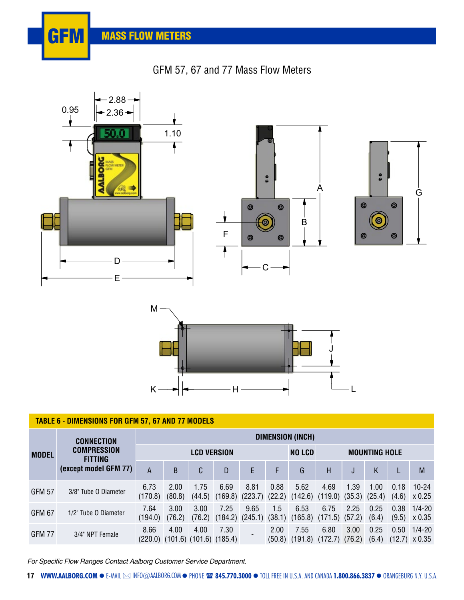## GFM 57, 67 and 77 Mass Flow Meters







### **TABLE 6 - DIMENSIONS FOR GFM 57, 67 AND 77 MODELS**

| <b>MODEL</b>  | <b>CONNECTION</b>                    | DIMENSION (INCH)   |                |                |                                       |                            |                |                                                                   |                          |      |               |               |                                    |
|---------------|--------------------------------------|--------------------|----------------|----------------|---------------------------------------|----------------------------|----------------|-------------------------------------------------------------------|--------------------------|------|---------------|---------------|------------------------------------|
|               | <b>COMPRESSION</b><br><b>FITTING</b> | <b>LCD VERSION</b> |                |                |                                       |                            |                | <b>NO LCD</b>                                                     | <b>MOUNTING HOLE</b>     |      |               |               |                                    |
|               | (except model GFM 77)                | Α                  | B.             | C              | D                                     | E.                         | F              | G                                                                 | н                        |      | Κ             |               | M                                  |
| <b>GFM 57</b> | 3/8" Tube O Diameter                 | 6.73<br>(170.8)    | 2.00<br>(80.8) | 1.75<br>(44.5) | 6.69<br>(169.8)                       | 8.81<br>$(223.7)$ $(22.2)$ | 0.88           | 5.62<br>$(142.6)$ $(119.0)$ $(35.3)$ $(25.4)$                     | 4.69                     | 1.39 | 1.00          | 0.18<br>(4.6) | $10 - 24$<br>x 0.25                |
| GFM 67        | 1/2" Tube O Diameter                 | 7.64<br>(194.0)    | 3.00<br>(76.2) | 3.00<br>(76.2) | 7.25                                  | 9.65                       | 1.5            | 6.53<br>$(184.2)$ $(245.1)$ $(38.1)$ $(165.8)$ $(171.5)$ $(57.2)$ | 6.75                     | 2.25 | 0.25<br>(6.4) | 0.38<br>(9.5) | $1/4 - 20$<br>X 0.35               |
| GFM 77        | 3/4" NPT Female                      | 8.66<br>(220.0)    | 4.00           | 4.00           | 7.30<br>$(101.6)$ $(101.6)$ $(185.4)$ |                            | 2.00<br>(50.8) | 7.55<br>(191.8)                                                   | 6.80<br>$(172.7)$ (76.2) | 3.00 | 0.25<br>(6.4) | 0.50          | $1/4 - 20$<br>$(12.7) \times 0.35$ |

For Specific Flow Ranges Contact Aalborg Customer Service Department.